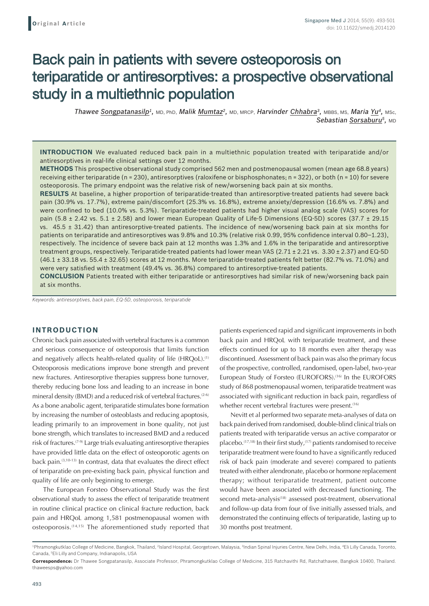# Back pain in patients with severe osteoporosis on teriparatide or antiresorptives: a prospective observational study in a multiethnic population

*Thawee Songpatanasilp1,* MD, PhD, *Malik Mumtaz2,* MD, MRCP, *Harvinder Chhabra3,* MBBS, MS, *Maria Yu4,* MSc, *Sebastian Sorsaburu5,* MD

**INTRODUCTION** We evaluated reduced back pain in a multiethnic population treated with teriparatide and/or antiresorptives in real-life clinical settings over 12 months.

**METHODS** This prospective observational study comprised 562 men and postmenopausal women (mean age 68.8 years) receiving either teriparatide ( $n = 230$ ), antiresorptives (raloxifene or bisphosphonates;  $n = 322$ ), or both ( $n = 10$ ) for severe osteoporosis. The primary endpoint was the relative risk of new/worsening back pain at six months.

**RESULTS** At baseline, a higher proportion of teriparatide-treated than antiresorptive-treated patients had severe back pain (30.9% vs. 17.7%), extreme pain/discomfort (25.3% vs. 16.8%), extreme anxiety/depression (16.6% vs. 7.8%) and were confined to bed (10.0% vs. 5.3%). Teriparatide-treated patients had higher visual analog scale (VAS) scores for pain (5.8 ± 2.42 vs. 5.1 ± 2.58) and lower mean European Quality of Life-5 Dimensions (EQ-5D) scores (37.7 ± 29.15 vs. 45.5 ± 31.42) than antiresorptive-treated patients. The incidence of new/worsening back pain at six months for patients on teriparatide and antiresorptives was 9.8% and 10.3% (relative risk 0.99, 95% confidence interval 0.80–1.23), respectively. The incidence of severe back pain at 12 months was 1.3% and 1.6% in the teriparatide and antiresorptive treatment groups, respectively. Teriparatide-treated patients had lower mean VAS (2.71 ± 2.21 vs. 3.30 ± 2.37) and EQ-5D (46.1 ± 33.18 vs. 55.4 ± 32.65) scores at 12 months. More teriparatide-treated patients felt better (82.7% vs. 71.0%) and were very satisfied with treatment (49.4% vs. 36.8%) compared to antiresorptive-treated patients. **CONCLUSION** Patients treated with either teriparatide or antiresorptives had similar risk of new/worsening back pain

at six months.

*Keywords: antiresorptives, back pain, EQ-5D, osteoporosis, teriparatide*

## **INTRODUCTION**

Chronic back pain associated with vertebral fractures is a common and serious consequence of osteoporosis that limits function and negatively affects health-related quality of life (HRQoL).<sup>(1)</sup> Osteoporosis medications improve bone strength and prevent new fractures. Antiresorptive therapies suppress bone turnover, thereby reducing bone loss and leading to an increase in bone mineral density (BMD) and a reduced risk of vertebral fractures.<sup>(2-6)</sup> As a bone anabolic agent, teriparatide stimulates bone formation by increasing the number of osteoblasts and reducing apoptosis, leading primarily to an improvement in bone quality, not just bone strength, which translates to increased BMD and a reduced risk of fractures.(7-9) Large trials evaluating antiresorptive therapies have provided little data on the effect of osteoporotic agents on back pain.(3,10-13) In contrast, data that evaluates the direct effect of teriparatide on pre-existing back pain, physical function and quality of life are only beginning to emerge.

The European Forsteo Observational Study was the first observational study to assess the effect of teriparatide treatment in routine clinical practice on clinical fracture reduction, back pain and HRQoL among 1,581 postmenopausal women with osteoporosis.(14,15) The aforementioned study reported that patients experienced rapid and significant improvements in both back pain and HRQoL with teriparatide treatment, and these effects continued for up to 18 months even after therapy was discontinued. Assessment of back pain was also the primary focus of the prospective, controlled, randomised, open-label, two-year European Study of Forsteo (EUROFORS).<sup>(16)</sup> In the EUROFORS study of 868 postmenopausal women, teriparatide treatment was associated with significant reduction in back pain, regardless of whether recent vertebral fractures were present.<sup>(16)</sup>

Nevitt et al performed two separate meta-analyses of data on back pain derived from randomised, double-blind clinical trials on patients treated with teriparatide versus an active comparator or placebo.<sup>(17,18)</sup> In their first study,<sup>(17)</sup> patients randomised to receive teriparatide treatment were found to have a significantly reduced risk of back pain (moderate and severe) compared to patients treated with either alendronate, placebo or hormone replacement therapy; without teriparatide treatment, patient outcome would have been associated with decreased functioning. The second meta-analysis<sup>(18)</sup> assessed post-treatment, observational and follow-up data from four of five initially assessed trials, and demonstrated the continuing effects of teriparatide, lasting up to 30 months post treatment.

<sup>&</sup>lt;sup>1</sup>Phramongkutklao College of Medicine, Bangkok, Thailand, <sup>2</sup>Island Hospital, Georgetown, Malaysia, <sup>3</sup>Indian Spinal Injuries Centre, New Delhi, India, <sup>4</sup>Eli Lilly Canada, Toronto, Canada, <sup>5</sup>Eli Lilly and Company, Indianapolis, USA

**Correspondence:** Dr Thawee Songpatanasilp, Associate Professor, Phramongkutklao College of Medicine, 315 Ratchavithi Rd, Ratchathavee, Bangkok 10400, Thailand. thaweesps@yahoo.com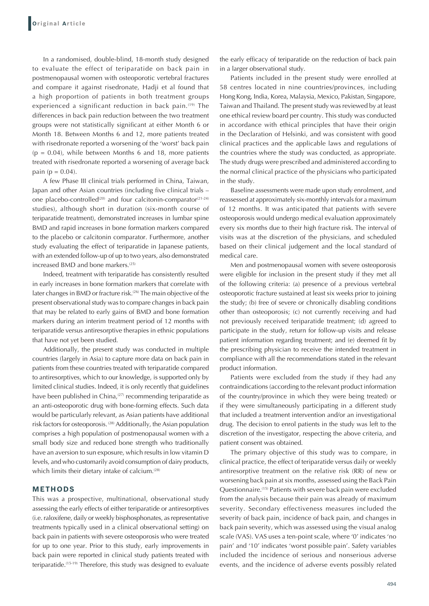In a randomised, double-blind, 18-month study designed to evaluate the effect of teriparatide on back pain in postmenopausal women with osteoporotic vertebral fractures and compare it against risedronate, Hadji et al found that a high proportion of patients in both treatment groups experienced a significant reduction in back pain.<sup>(19)</sup> The differences in back pain reduction between the two treatment groups were not statistically significant at either Month 6 or Month 18. Between Months 6 and 12, more patients treated with risedronate reported a worsening of the 'worst' back pain  $(p = 0.04)$ , while between Months 6 and 18, more patients treated with risedronate reported a worsening of average back pain ( $p = 0.04$ ).

A few Phase III clinical trials performed in China, Taiwan, Japan and other Asian countries (including five clinical trials – one placebo-controlled<sup>(20)</sup> and four calcitonin-comparator<sup>(21-24)</sup> studies), although short in duration (six-month course of teriparatide treatment), demonstrated increases in lumbar spine BMD and rapid increases in bone formation markers compared to the placebo or calcitonin comparator. Furthermore, another study evaluating the effect of teriparatide in Japanese patients, with an extended follow-up of up to two years, also demonstrated increased BMD and bone markers.<sup>(25)</sup>

Indeed, treatment with teriparatide has consistently resulted in early increases in bone formation markers that correlate with later changes in BMD or fracture risk.<sup>(26)</sup> The main objective of the present observational study was to compare changes in back pain that may be related to early gains of BMD and bone formation markers during an interim treatment period of 12 months with teriparatide versus antiresorptive therapies in ethnic populations that have not yet been studied.

Additionally, the present study was conducted in multiple countries (largely in Asia) to capture more data on back pain in patients from these countries treated with teriparatide compared to antiresorptives, which to our knowledge, is supported only by limited clinical studies. Indeed, it is only recently that guidelines have been published in China,<sup>(27)</sup> recommending teriparatide as an anti-osteoporotic drug with bone-forming effects. Such data would be particularly relevant, as Asian patients have additional risk factors for osteoporosis. (28) Additionally, the Asian population comprises a high population of postmenopausal women with a small body size and reduced bone strength who traditionally have an aversion to sun exposure, which results in low vitamin D levels, and who customarily avoid consumption of dairy products, which limits their dietary intake of calcium.<sup>(28)</sup>

## **METHODS**

This was a prospective, multinational, observational study assessing the early effects of either teriparatide or antiresorptives (i.e. raloxifene, daily or weekly bisphosphonates, as representative treatments typically used in a clinical observational setting) on back pain in patients with severe osteoporosis who were treated for up to one year. Prior to this study, early improvements in back pain were reported in clinical study patients treated with teriparatide.<sup>(15-19)</sup> Therefore, this study was designed to evaluate the early efficacy of teriparatide on the reduction of back pain in a larger observational study.

Patients included in the present study were enrolled at 58 centres located in nine countries/provinces, including Hong Kong, India, Korea, Malaysia, Mexico, Pakistan, Singapore, Taiwan and Thailand. The present study was reviewed by at least one ethical review board per country. This study was conducted in accordance with ethical principles that have their origin in the Declaration of Helsinki, and was consistent with good clinical practices and the applicable laws and regulations of the countries where the study was conducted, as appropriate. The study drugs were prescribed and administered according to the normal clinical practice of the physicians who participated in the study.

Baseline assessments were made upon study enrolment, and reassessed at approximately six-monthly intervals for a maximum of 12 months. It was anticipated that patients with severe osteoporosis would undergo medical evaluation approximately every six months due to their high fracture risk. The interval of visits was at the discretion of the physicians, and scheduled based on their clinical judgement and the local standard of medical care.

Men and postmenopausal women with severe osteoporosis were eligible for inclusion in the present study if they met all of the following criteria: (a) presence of a previous vertebral osteoporotic fracture sustained at least six weeks prior to joining the study; (b) free of severe or chronically disabling conditions other than osteoporosis; (c) not currently receiving and had not previously received teriparatide treatment; (d) agreed to participate in the study, return for follow-up visits and release patient information regarding treatment; and (e) deemed fit by the prescribing physician to receive the intended treatment in compliance with all the recommendations stated in the relevant product information.

Patients were excluded from the study if they had any contraindications (according to the relevant product information of the country/province in which they were being treated) or if they were simultaneously participating in a different study that included a treatment intervention and/or an investigational drug. The decision to enrol patients in the study was left to the discretion of the investigator, respecting the above criteria, and patient consent was obtained.

The primary objective of this study was to compare, in clinical practice, the effect of teriparatide versus daily or weekly antiresorptive treatment on the relative risk (RR) of new or worsening back pain at six months, assessed using the Back Pain Questionnaire.(15) Patients with severe back pain were excluded from the analysis because their pain was already of maximum severity. Secondary effectiveness measures included the severity of back pain, incidence of back pain, and changes in back pain severity, which was assessed using the visual analog scale (VAS). VAS uses a ten-point scale, where '0' indicates 'no pain' and '10' indicates 'worst possible pain'. Safety variables included the incidence of serious and nonserious adverse events, and the incidence of adverse events possibly related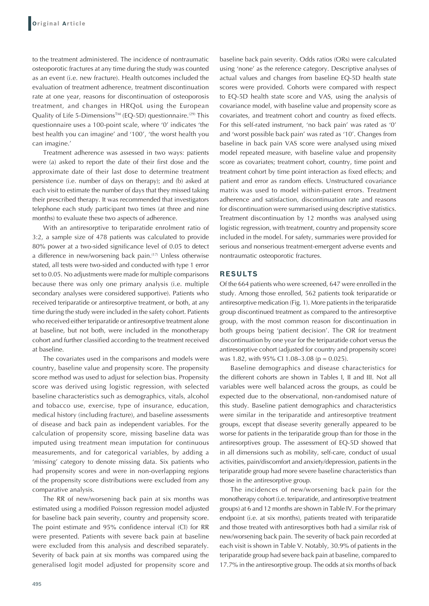to the treatment administered. The incidence of nontraumatic osteoporotic fractures at any time during the study was counted as an event (i.e. new fracture). Health outcomes included the evaluation of treatment adherence, treatment discontinuation rate at one year, reasons for discontinuation of osteoporosis treatment, and changes in HRQoL using the European Quality of Life 5-Dimensions<sup>TM</sup> (EQ-5D) questionnaire.<sup>(29)</sup> This questionnaire uses a 100-point scale, where '0' indicates 'the best health you can imagine' and '100', 'the worst health you can imagine.'

Treatment adherence was assessed in two ways: patients were (a) asked to report the date of their first dose and the approximate date of their last dose to determine treatment persistence (i.e. number of days on therapy); and (b) asked at each visit to estimate the number of days that they missed taking their prescribed therapy. It was recommended that investigators telephone each study participant two times (at three and nine months) to evaluate these two aspects of adherence.

With an antiresorptive to teriparatide enrolment ratio of 3:2, a sample size of 478 patients was calculated to provide 80% power at a two-sided significance level of 0.05 to detect a difference in new/worsening back pain.(17) Unless otherwise stated, all tests were two-sided and conducted with type 1 error set to 0.05. No adjustments were made for multiple comparisons because there was only one primary analysis (i.e. multiple secondary analyses were considered supportive). Patients who received teriparatide or antiresorptive treatment, or both, at any time during the study were included in the safety cohort. Patients who received either teriparatide or antiresorptive treatment alone at baseline, but not both, were included in the monotherapy cohort and further classified according to the treatment received at baseline.

The covariates used in the comparisons and models were country, baseline value and propensity score. The propensity score method was used to adjust for selection bias. Propensity score was derived using logistic regression, with selected baseline characteristics such as demographics, vitals, alcohol and tobacco use, exercise, type of insurance, education, medical history (including fracture), and baseline assessments of disease and back pain as independent variables. For the calculation of propensity score, missing baseline data was imputed using treatment mean imputation for continuous measurements, and for categorical variables, by adding a 'missing' category to denote missing data. Six patients who had propensity scores and were in non-overlapping regions of the propensity score distributions were excluded from any comparative analysis.

The RR of new/worsening back pain at six months was estimated using a modified Poisson regression model adjusted for baseline back pain severity, country and propensity score. The point estimate and 95% confidence interval (CI) for RR were presented. Patients with severe back pain at baseline were excluded from this analysis and described separately. Severity of back pain at six months was compared using the generalised logit model adjusted for propensity score and baseline back pain severity. Odds ratios (ORs) were calculated using 'none' as the reference category. Descriptive analyses of actual values and changes from baseline EQ-5D health state scores were provided. Cohorts were compared with respect to EQ-5D health state score and VAS, using the analysis of covariance model, with baseline value and propensity score as covariates, and treatment cohort and country as fixed effects. For this self-rated instrument, 'no back pain' was rated as '0' and 'worst possible back pain' was rated as '10'. Changes from baseline in back pain VAS score were analysed using mixed model repeated measure, with baseline value and propensity score as covariates; treatment cohort, country, time point and treatment cohort by time point interaction as fixed effects; and patient and error as random effects. Unstructured covariance matrix was used to model within-patient errors. Treatment adherence and satisfaction, discontinuation rate and reasons for discontinuation were summarised using descriptive statistics. Treatment discontinuation by 12 months was analysed using logistic regression, with treatment, country and propensity score included in the model. For safety, summaries were provided for serious and nonserious treatment-emergent adverse events and nontraumatic osteoporotic fractures.

### **RESULTS**

Of the 664 patients who were screened, 647 were enrolled in the study. Among those enrolled, 562 patients took teriparatide or antiresorptive medication (Fig. 1). More patients in the teriparatide group discontinued treatment as compared to the antiresorptive group, with the most common reason for discontinuation in both groups being 'patient decision'. The OR for treatment discontinuation by one year for the teriparatide cohort versus the antiresorptive cohort (adjusted for country and propensity score) was 1.82, with 95% CI 1.08–3.08 (p = 0.025).

Baseline demographics and disease characteristics for the different cohorts are shown in Tables I, II and III. Not all variables were well balanced across the groups, as could be expected due to the observational, non-randomised nature of this study. Baseline patient demographics and characteristics were similar in the teriparatide and antiresorptive treatment groups, except that disease severity generally appeared to be worse for patients in the teriparatide group than for those in the antiresorptives group. The assessment of EQ-5D showed that in all dimensions such as mobility, self-care, conduct of usual activities, pain/discomfort and anxiety/depression, patients in the teriparatide group had more severe baseline characteristics than those in the antiresorptive group.

The incidences of new/worsening back pain for the monotherapy cohort (i.e. teriparatide, and antiresorptive treatment groups) at 6 and 12 months are shown in Table IV. For the primary endpoint (i.e. at six months), patients treated with teriparatide and those treated with antiresorptives both had a similar risk of new/worsening back pain. The severity of back pain recorded at each visit is shown in Table V. Notably, 30.9% of patients in the teriparatide group had severe back pain at baseline, compared to 17.7% in the antiresorptive group. The odds at six months of back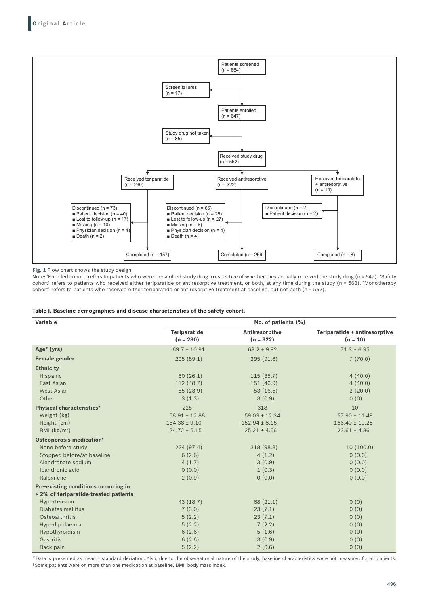

Fig. 1 Flow chart shows the study design.

Note: 'Enrolled cohort' refers to patients who were prescribed study drug irrespective of whether they actually received the study drug (n = 647). 'Safety cohort' refers to patients who received either teriparatide or antiresorptive treatment, or both, at any time during the study (n = 562). 'Monotherapy cohort' refers to patients who received either teriparatide or antiresorptive treatment at baseline, but not both (n = 552).

#### **Table I. Baseline demographics and disease characteristics of the safety cohort.**

| Variable                              | No. of patients (%) |                   |                               |  |
|---------------------------------------|---------------------|-------------------|-------------------------------|--|
|                                       | <b>Teriparatide</b> | Antiresorptive    | Teriparatide + antiresorptive |  |
|                                       | $(n = 230)$         | $(n = 322)$       | $(n = 10)$                    |  |
| Age* (yrs)                            | $69.7 \pm 10.91$    | $68.2 \pm 9.92$   | $71.3 \pm 6.95$               |  |
| <b>Female gender</b>                  | 205(89.1)           | 295 (91.6)        | 7(70.0)                       |  |
| <b>Ethnicity</b>                      |                     |                   |                               |  |
| Hispanic                              | 60(26.1)            | 115 (35.7)        | 4(40.0)                       |  |
| East Asian                            | 112 (48.7)          | 151 (46.9)        | 4(40.0)                       |  |
| <b>West Asian</b>                     | 55(23.9)            | 53(16.5)          | 2(20.0)                       |  |
| Other                                 | 3(1.3)              | 3(0.9)            | 0(0)                          |  |
| <b>Physical characteristics*</b>      | 225                 | 318               | 10                            |  |
| Weight (kg)                           | $58.91 \pm 12.88$   | $59.09 \pm 12.34$ | $57.90 \pm 11.49$             |  |
| Height (cm)                           | $154.38 \pm 9.10$   | $152.94 \pm 8.15$ | $156.40 \pm 10.28$            |  |
| BMI $(kg/m2)$                         | $24.72 \pm 5.15$    | $25.21 \pm 4.66$  | $23.61 \pm 4.36$              |  |
| Osteoporosis medication <sup>+</sup>  |                     |                   |                               |  |
| None before study                     | 224(97.4)           | 318 (98.8)        | 10(100.0)                     |  |
| Stopped before/at baseline            | 6(2.6)              | 4(1.2)            | 0(0.0)                        |  |
| Alendronate sodium                    | 4(1.7)              | 3(0.9)            | 0(0.0)                        |  |
| Ibandronic acid                       | 0(0.0)              | 1(0.3)            | 0(0.0)                        |  |
| Raloxifene                            | 2(0.9)              | 0(0.0)            | 0(0.0)                        |  |
| Pre-existing conditions occurring in  |                     |                   |                               |  |
| > 2% of teriparatide-treated patients |                     |                   |                               |  |
| Hypertension                          | 43(18.7)            | 68 (21.1)         | 0(0)                          |  |
| Diabetes mellitus                     | 7(3.0)              | 23(7.1)           | 0(0)                          |  |
| Osteoarthritis                        | 5(2.2)              | 23(7.1)           | 0(0)                          |  |
| Hyperlipidaemia                       | 5(2.2)              | 7(2.2)            | 0(0)                          |  |
| Hypothyroidism                        | 6(2.6)              | 5(1.6)            | 0(0)                          |  |
| Gastritis                             | 6(2.6)              | 3(0.9)            | 0(0)                          |  |
| Back pain                             | 5(2.2)              | 2(0.6)            | 0(0)                          |  |

\*Data is presented as mean ± standard deviation. Also, due to the observational nature of the study, baseline characteristics were not measured for all patients. †Some patients were on more than one medication at baseline. BMI: body mass index.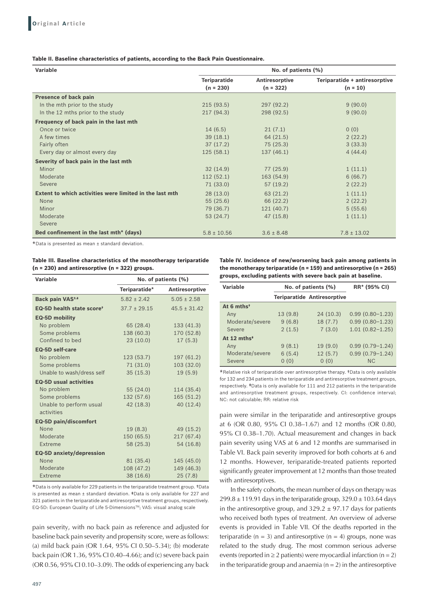#### **Table II. Baseline characteristics of patients, according to the Back Pain Questionnaire.**

| Variable                                                | No. of patients (%)                |                               |                                             |  |
|---------------------------------------------------------|------------------------------------|-------------------------------|---------------------------------------------|--|
|                                                         | <b>Teriparatide</b><br>$(n = 230)$ | Antiresorptive<br>$(n = 322)$ | Teriparatide + antiresorptive<br>$(n = 10)$ |  |
| <b>Presence of back pain</b>                            |                                    |                               |                                             |  |
| In the mth prior to the study                           | 215(93.5)                          | 297 (92.2)                    | 9(90.0)                                     |  |
| In the 12 mths prior to the study                       | 217 (94.3)                         | 298 (92.5)                    | 9(90.0)                                     |  |
| Frequency of back pain in the last mth                  |                                    |                               |                                             |  |
| Once or twice                                           | 14(6.5)                            | 21(7.1)                       | 0(0)                                        |  |
| A few times                                             | 39(18.1)                           | 64 (21.5)                     | 2(22.2)                                     |  |
| Fairly often                                            | 37(17.2)                           | 75 (25.3)                     | 3(33.3)                                     |  |
| Every day or almost every day                           | 125(58.1)                          | 137(46.1)                     | 4(44.4)                                     |  |
| Severity of back pain in the last mth                   |                                    |                               |                                             |  |
| Minor                                                   | 32(14.9)                           | 77(25.9)                      | 1(11.1)                                     |  |
| Moderate                                                | 112(52.1)                          | 163 (54.9)                    | 6(66.7)                                     |  |
| Severe                                                  | 71 (33.0)                          | 57(19.2)                      | 2(22.2)                                     |  |
| Extent to which activities were limited in the last mth | 28(13.0)                           | 63(21.2)                      | 1(11.1)                                     |  |
| None                                                    | 55(25.6)                           | 66 (22.2)                     | 2(22.2)                                     |  |
| Minor                                                   | 79 (36.7)                          | 121(40.7)                     | 5(55.6)                                     |  |
| Moderate                                                | 53 (24.7)                          | 47 (15.8)                     | 1(11.1)                                     |  |
| Severe                                                  |                                    |                               |                                             |  |
| Bed confinement in the last mth* (days)                 | $5.8 \pm 10.56$                    | $3.6 \pm 8.48$                | $7.8 \pm 13.02$                             |  |

\*Data is presented as mean <sup>±</sup> standard deviation.

#### **Table III. Baseline characteristics of the monotherapy teriparatide (n = 230) and antiresorptive (n = 322) groups.**

| Variable                              | No. of patients (%) |                       |  |
|---------------------------------------|---------------------|-----------------------|--|
|                                       | Teriparatide*       | <b>Antiresorptive</b> |  |
| Back pain VAS <sup>t,#</sup>          | $5.82 + 2.42$       | $5.05 + 2.58$         |  |
| EQ-5D health state score <sup>+</sup> | $37.7 + 29.15$      | $45.5 \pm 31.42$      |  |
| <b>EQ-5D mobility</b>                 |                     |                       |  |
| No problem                            | 65 (28.4)           | 133 (41.3)            |  |
| Some problems                         | 138 (60.3)          | 170 (52.8)            |  |
| Confined to bed                       | 23(10.0)            | 17(5.3)               |  |
| <b>EQ-5D self-care</b>                |                     |                       |  |
| No problem                            | 123(53.7)           | 197 (61.2)            |  |
| Some problems                         | 71(31.0)            | 103 (32.0)            |  |
| Unable to wash/dress self             | 35(15.3)            | 19(5.9)               |  |
| <b>EQ-5D usual activities</b>         |                     |                       |  |
| No problem                            | 55(24.0)            | 114 (35.4)            |  |
| Some problems                         | 132 (57.6)          | 165 (51.2)            |  |
| Unable to perform usual               | 42 (18.3)           | 40 (12.4)             |  |
| activities                            |                     |                       |  |
| <b>EQ-5D pain/discomfort</b>          |                     |                       |  |
| None                                  | 19(8.3)             | 49 (15.2)             |  |
| Moderate                              | 150 (65.5)          | 217(67.4)             |  |
| <b>Extreme</b>                        | 58 (25.3)           | 54 (16.8)             |  |
| <b>EQ-5D anxiety/depression</b>       |                     |                       |  |
| None                                  | 81 (35.4)           | 145 (45.0)            |  |
| Moderate                              | 108 (47.2)          | 149 (46.3)            |  |
| Extreme                               | 38 (16.6)           | 25(7.8)               |  |

\*Data is only available for 229 patients in the teriparatide treatment group. †Data is presented as mean ± standard deviation. ‡Data is only available for 227 and 321 patients in the teriparatide and antiresorptive treatment groups, respectively. EQ-5D: European Quality of Life 5-Dimensions™; VAS: visual analog scale

pain severity, with no back pain as reference and adjusted for baseline back pain severity and propensity score, were as follows: (a) mild back pain (OR 1.64, 95% CI 0.50–5.34); (b) moderate back pain (OR 1.36, 95% CI 0.40–4.66); and (c) severe back pain (OR 0.56, 95% CI 0.10–3.09). The odds of experiencing any back

497

**Table IV. Incidence of new/worsening back pain among patients in the monotherapy teriparatide (n = 159) and antiresorptive (n = 265) groups, excluding patients with severe back pain at baseline.**

| <b>Variable</b>                      | No. of patients (%)                | RR* (95% CI) |                     |
|--------------------------------------|------------------------------------|--------------|---------------------|
|                                      |                                    |              |                     |
|                                      | <b>Teriparatide Antiresorptive</b> |              |                     |
| At 6 mths <sup>+</sup>               |                                    |              |                     |
| Any                                  | 13(9.8)                            | 24(10.3)     | $0.99(0.80 - 1.23)$ |
| Moderate/severe                      | 9(6.8)                             | 18(7.7)      | $0.99(0.80 - 1.23)$ |
| Severe                               | 2(1.5)                             | 7(3.0)       | $1.01(0.82 - 1.25)$ |
| At 12 mths <sup><math>*</math></sup> |                                    |              |                     |
| Any                                  | 9(8.1)                             | 19(9.0)      | $0.99(0.79 - 1.24)$ |
| Moderate/severe                      | 6(5.4)                             | 12(5.7)      | $0.99(0.79 - 1.24)$ |
| Severe                               | 0(0)                               | 0(0)         | NC                  |

\*Relative risk of teriparatide over antiresorptive therapy. †Data is only available for 132 and 234 patients in the teriparatide and antiresorptive treatment groups, respectively. ‡Data is only available for 111 and 212 patients in the teriparatide and antiresorptive treatment groups, respectively. CI: confidence interval; NC: not calculable; RR: relative risk

pain were similar in the teriparatide and antiresorptive groups at 6 (OR 0.80, 95% CI 0.38–1.67) and 12 months (OR 0.80, 95% CI 0.38–1.70). Actual measurement and changes in back pain severity using VAS at 6 and 12 months are summarised in Table VI. Back pain severity improved for both cohorts at 6 and 12 months. However, teriparatide-treated patients reported significantly greater improvement at 12 months than those treated with antiresorptives.

In the safety cohorts, the mean number of days on therapy was  $299.8 \pm 119.91$  days in the teriparatide group,  $329.0 \pm 103.64$  days in the antiresorptive group, and  $329.2 \pm 97.17$  days for patients who received both types of treatment. An overview of adverse events is provided in Table VII. Of the deaths reported in the teriparatide ( $n = 3$ ) and antiresorptive ( $n = 4$ ) groups, none was related to the study drug. The most common serious adverse events (reported in  $\geq 2$  patients) were myocardial infarction (n = 2) in the teriparatide group and anaemia  $(n = 2)$  in the antiresorptive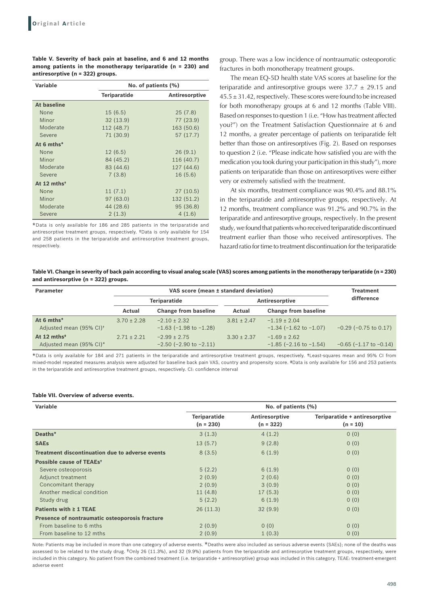**Table V. Severity of back pain at baseline, and 6 and 12 months among patients in the monotherapy teriparatide (n = 230) and antiresorptive (n = 322) groups.**

| Variable                |                     | No. of patients (%)   |  |  |
|-------------------------|---------------------|-----------------------|--|--|
|                         | <b>Teriparatide</b> | <b>Antiresorptive</b> |  |  |
| At baseline             |                     |                       |  |  |
| None                    | 15(6.5)             | 25(7.8)               |  |  |
| Minor                   | 32(13.9)            | 77 (23.9)             |  |  |
| Moderate                | 112 (48.7)          | 163 (50.6)            |  |  |
| Severe                  | 71 (30.9)           | 57(17.7)              |  |  |
| At 6 mths*              |                     |                       |  |  |
| None                    | 12(6.5)             | 26(9.1)               |  |  |
| Minor                   | 84 (45.2)           | 116 (40.7)            |  |  |
| Moderate                | 83 (44.6)           | 127 (44.6)            |  |  |
| Severe                  | 7(3.8)              | 16(5.6)               |  |  |
| At 12 mths <sup>t</sup> |                     |                       |  |  |
| None                    | 11(7.1)             | 27(10.5)              |  |  |
| Minor                   | 97 (63.0)           | 132 (51.2)            |  |  |
| Moderate                | 44 (28.6)           | 95 (36.8)             |  |  |
| Severe                  | 2(1.3)              | 4(1.6)                |  |  |

\*Data is only available for 186 and 285 patients in the teriparatide and antiresorptive treatment groups, respectively. †Data is only available for 154 and 258 patients in the teriparatide and antiresorptive treatment groups, respectively.

group. There was a low incidence of nontraumatic osteoporotic fractures in both monotherapy treatment groups.

The mean EQ-5D health state VAS scores at baseline for the teriparatide and antiresorptive groups were  $37.7 \pm 29.15$  and  $45.5 \pm 31.42$ , respectively. These scores were found to be increased for both monotherapy groups at 6 and 12 months (Table VIII). Based on responses to question 1 (i.e. "How has treatment affected you?") on the Treatment Satisfaction Questionnaire at 6 and 12 months, a greater percentage of patients on teriparatide felt better than those on antiresorptives (Fig. 2). Based on responses to question 2 (i.e. "Please indicate how satisfied you are with the medication you took during your participation in this study"), more patients on teriparatide than those on antiresorptives were either very or extremely satisfied with the treatment.

At six months, treatment compliance was 90.4% and 88.1% in the teriparatide and antiresorptive groups, respectively. At 12 months, treatment compliance was 91.2% and 90.7% in the teriparatide and antiresorptive groups, respectively. In the present study, we found that patients who received teriparatide discontinued treatment earlier than those who received antiresorptives. The hazard ratio for time to treatment discontinuation for the teriparatide

**Table VI. Change in severity of back pain according to visual analog scale (VAS) scores among patients in the monotherapy teriparatide (n = 230) and antiresorptive (n = 322) groups.** 

| <b>Parameter</b>                                   | VAS score (mean ± standard deviation) |                                                    |                 |                                                    | <b>Treatment</b>               |
|----------------------------------------------------|---------------------------------------|----------------------------------------------------|-----------------|----------------------------------------------------|--------------------------------|
|                                                    |                                       | Antiresorptive<br><b>Teriparatide</b>              |                 | difference                                         |                                |
|                                                    | Actual                                | <b>Change from baseline</b>                        | Actual          | <b>Change from baseline</b>                        |                                |
| At 6 mths*<br>Adjusted mean (95% CI) <sup>+</sup>  | $3.70 \pm 2.28$                       | $-2.10 \pm 2.32$<br>$-1.63$ ( $-1.98$ to $-1.28$ ) | $3.81 \pm 2.47$ | $-1.19 \pm 2.04$<br>$-1.34$ ( $-1.62$ to $-1.07$ ) | $-0.29$ ( $-0.75$ to $0.17$ )  |
| At 12 mths <sup>*</sup><br>Adjusted mean (95% CI)* | $2.71 \pm 2.21$                       | $-2.99 \pm 2.75$<br>$-2.50$ ( $-2.90$ to $-2.11$ ) | $3.30 \pm 2.37$ | $-1.69 \pm 2.62$<br>$-1.85$ ( $-2.16$ to $-1.54$ ) | $-0.65$ ( $-1.17$ to $-0.14$ ) |

\*Data is only available for 184 and 271 patients in the teriparatide and antiresorptive treatment groups, respectively. †Least-squares mean and 95% CI from mixed-model repeated measures analysis were adjusted for baseline back pain VAS, country and propensity score. ‡Data is only available for 156 and 253 patients in the teriparatide and antiresorptive treatment groups, respectively. CI: confidence interval

#### **Table VII. Overview of adverse events.**

| Variable                                        | No. of patients (%)                |                               |                                             |  |
|-------------------------------------------------|------------------------------------|-------------------------------|---------------------------------------------|--|
|                                                 | <b>Teriparatide</b><br>$(n = 230)$ | Antiresorptive<br>$(n = 322)$ | Teriparatide + antiresorptive<br>$(n = 10)$ |  |
| Deaths*                                         | 3(1.3)                             | 4(1.2)                        | 0(0)                                        |  |
| <b>SAEs</b>                                     | 13(5.7)                            | 9(2.8)                        | 0(0)                                        |  |
| Treatment discontinuation due to adverse events | 8(3.5)                             | 6(1.9)                        | 0(0)                                        |  |
| Possible cause of TEAEs <sup>+</sup>            |                                    |                               |                                             |  |
| Severe osteoporosis                             | 5(2.2)                             | 6(1.9)                        | 0(0)                                        |  |
| Adjunct treatment                               | 2(0.9)                             | 2(0.6)                        | 0(0)                                        |  |
| Concomitant therapy                             | 2(0.9)                             | 3(0.9)                        | 0(0)                                        |  |
| Another medical condition                       | 11(4.8)                            | 17(5.3)                       | 0(0)                                        |  |
| Study drug                                      | 5(2.2)                             | 6(1.9)                        | 0(0)                                        |  |
| Patients with $\geq 1$ TEAE                     | 26(11.3)                           | 32(9.9)                       | 0(0)                                        |  |
| Presence of nontraumatic osteoporosis fracture  |                                    |                               |                                             |  |
| From baseline to 6 mths                         | 2(0.9)                             | 0(0)                          | 0(0)                                        |  |
| From baseline to 12 mths                        | 2(0.9)                             | 1(0.3)                        | 0(0)                                        |  |

Note: Patients may be included in more than one category of adverse events. \*Deaths were also included as serious adverse events (SAEs); none of the deaths was assessed to be related to the study drug. †Only 26 (11.3%), and 32 (9.9%) patients from the teriparatide and antiresorptive treatment groups, respectively, were included in this category. No patient from the combined treatment (i.e. teriparatide + antiresorptive) group was included in this category. TEAE: treatment-emergent adverse event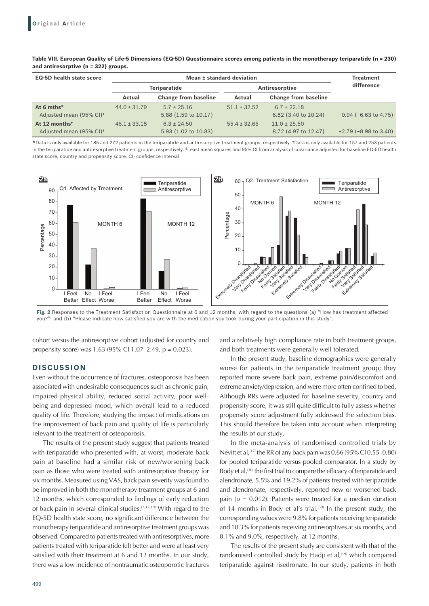| <b>EQ-5D health state score</b>                                  |                  | <b>Treatment</b>                        |                  |                                          |                            |
|------------------------------------------------------------------|------------------|-----------------------------------------|------------------|------------------------------------------|----------------------------|
|                                                                  |                  | <b>Teriparatide</b>                     | Antiresorptive   |                                          | difference                 |
|                                                                  | Actual           | <b>Change from baseline</b>             | Actual           | <b>Change from baseline</b>              |                            |
| At 6 mths*<br>Adjusted mean (95% CI) <sup>*</sup>                | $44.0 \pm 31.79$ | $5.7 \pm 25.16$<br>5.88 (1.59 to 10.17) | $51.1 \pm 32.52$ | $6.7 \pm 22.18$<br>6.82 (3.40 to 10.24)  | $-0.94$ ( $-6.63$ to 4.75) |
| At 12 months <sup>+</sup><br>Adjusted mean (95% CI) <sup>+</sup> | $46.1 \pm 33.18$ | $6.3 \pm 24.50$<br>5.93 (1.02 to 10.83) | $55.4 \pm 32.65$ | $11.0 \pm 25.50$<br>8.72 (4.97 to 12.47) | $-2.79$ ( $-8.98$ to 3.40) |

**Table VIII. European Quality of Life‑5 Dimensions (EQ‑5D) Questionnaire scores among patients in the monotherapy teriparatide (n = 230) and antiresorptive (n = 322) groups.**

\*Data is only available for 185 and 272 patients in the teriparatide and antiresorptive treatment groups, respectively. †Data is only available for 157 and 253 patients in the teriparatide and antiresorptive treatment groups, respectively. ‡Least mean squares and 95% CI from analysis of covariance adjusted for baseline EQ-5D health state score, country and propensity score. CI: confidence interval



**Fig. 2** Responses to the Treatment Satisfaction Questionnaire at 6 and 12 months, with regard to the questions (a) "How has treatment affected you?"; and (b) "Please indicate how satisfied you are with the medication you took during your participation in this study".

cohort versus the antiresorptive cohort (adjusted for country and propensity score) was 1.63 (95% CI 1.07–2.49, p = 0.023).

## **DISCUSSION**

Even without the occurrence of fractures, osteoporosis has been associated with undesirable consequences such as chronic pain, impaired physical ability, reduced social activity, poor wellbeing and depressed mood, which overall lead to a reduced quality of life. Therefore, studying the impact of medications on the improvement of back pain and quality of life is particularly relevant to the treatment of osteoporosis.

The results of the present study suggest that patients treated with teriparatide who presented with, at worst, moderate back pain at baseline had a similar risk of new/worsening back pain as those who were treated with antiresorptive therapy for six months. Measured using VAS, back pain severity was found to be improved in both the monotherapy treatment groups at 6 and 12 months, which corresponded to findings of early reduction of back pain in several clinical studies.(7,17,19) With regard to the EQ-5D health state score, no significant difference between the monotherapy teriparatide and antiresorptive treatment groups was observed. Compared to patients treated with antiresorptives, more patients treated with teriparatide felt better and were at least very satisfied with their treatment at 6 and 12 months. In our study, there was a low incidence of nontraumatic osteoporotic fractures and a relatively high compliance rate in both treatment groups, and both treatments were generally well tolerated.

In the present study, baseline demographics were generally worse for patients in the teriparatide treatment group; they reported more severe back pain, extreme pain/discomfort and extreme anxiety/depression, and were more often confined to bed. Although RRs were adjusted for baseline severity, country and propensity score, it was still quite difficult to fully assess whether propensity score adjustment fully addressed the selection bias. This should therefore be taken into account when interpreting the results of our study.

In the meta-analysis of randomised controlled trials by Nevitt et al,<sup>(17)</sup> the RR of any back pain was 0.66 (95% CI 0.55-0.80) for pooled teriparatide versus pooled comparator. In a study by Body et al,<sup>(30)</sup> the first trial to compare the efficacy of teriparatide and alendronate, 5.5% and 19.2% of patients treated with teriparatide and alendronate, respectively, reported new or worsened back pain ( $p = 0.012$ ). Patients were treated for a median duration of 14 months in Body et al's trial.<sup>(30)</sup> In the present study, the corresponding values were 9.8% for patients receiving teriparatide and 10.3% for patients receiving antiresorptives at six months, and 8.1% and 9.0%, respectively, at 12 months.

The results of the present study are consistent with that of the randomised controlled study by Hadji et al,<sup>(19)</sup> which compared teriparatide against risedronate. In our study, patients in both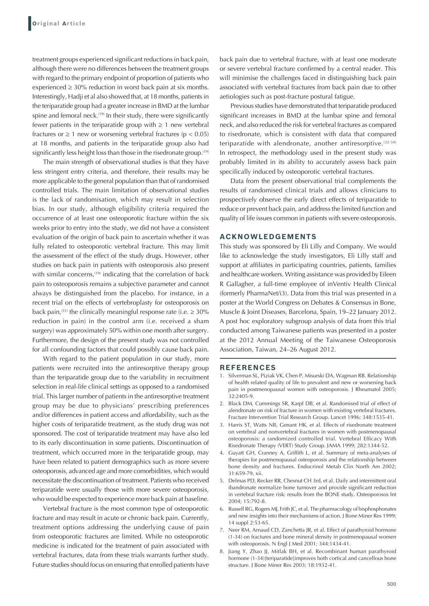treatment groups experienced significant reductions in back pain, although there were no differences between the treatment groups with regard to the primary endpoint of proportion of patients who experienced  $\geq$  30% reduction in worst back pain at six months. Interestingly, Hadji et al also showed that, at 18 months, patients in the teriparatide group had a greater increase in BMD at the lumbar spine and femoral neck.<sup>(19)</sup> In their study, there were significantly fewer patients in the teriparatide group with  $\geq 1$  new vertebral fractures or  $\geq 1$  new or worsening vertebral fractures ( $p < 0.05$ ) at 18 months, and patients in the teriparatide group also had significantly less height loss than those in the risedronate group.<sup>(19)</sup>

The main strength of observational studies is that they have less stringent entry criteria, and therefore, their results may be more applicable to the general population than that of randomised controlled trials. The main limitation of observational studies is the lack of randomisation, which may result in selection bias. In our study, although eligibility criteria required the occurrence of at least one osteoporotic fracture within the six weeks prior to entry into the study, we did not have a consistent evaluation of the origin of back pain to ascertain whether it was fully related to osteoporotic vertebral fracture. This may limit the assessment of the effect of the study drugs. However, other studies on back pain in patients with osteoporosis also present with similar concerns,<sup>(19)</sup> indicating that the correlation of back pain to osteoporosis remains a subjective parameter and cannot always be distinguished from the placebo. For instance, in a recent trial on the effects of vertebroplasty for osteoporosis on back pain,<sup>(31)</sup> the clinically meaningful response rate (i.e.  $\geq 30\%$ ) reduction in pain) in the control arm (i.e. received a sham surgery) was approximately 50% within one month after surgery. Furthermore, the design of the present study was not controlled for all confounding factors that could possibly cause back pain.

With regard to the patient population in our study, more patients were recruited into the antiresorptive therapy group than the teriparatide group due to the variability in recruitment selection in real-life clinical settings as opposed to a randomised trial. This larger number of patients in the antiresorptive treatment group may be due to physicians' prescribing preferences and/or differences in patient access and affordability, such as the higher costs of teriparatide treatment, as the study drug was not sponsored. The cost of teriparatide treatment may have also led to its early discontinuation in some patients. Discontinuation of treatment, which occurred more in the teriparatide group, may have been related to patient demographics such as more severe osteoporosis, advanced age and more comorbidities, which would necessitate the discontinuation of treatment. Patients who received teriparatide were usually those with more severe osteoporosis, who would be expected to experience more back pain at baseline.

Vertebral fracture is the most common type of osteoporotic fracture and may result in acute or chronic back pain. Currently, treatment options addressing the underlying cause of pain from osteoporotic fractures are limited. While no osteoporotic medicine is indicated for the treatment of pain associated with vertebral fractures, data from these trials warrants further study. Future studies should focus on ensuring that enrolled patients have back pain due to vertebral fracture, with at least one moderate or severe vertebral fracture confirmed by a central reader. This will minimise the challenges faced in distinguishing back pain associated with vertebral fractures from back pain due to other aetiologies such as post-fracture postural fatigue.

Previous studies have demonstrated that teriparatide produced significant increases in BMD at the lumbar spine and femoral neck, and also reduced the risk for vertebral fractures as compared to risedronate, which is consistent with data that compared teriparatide with alendronate, another antiresorptive.  $(32-34)$ In retrospect, the methodology used in the present study was probably limited in its ability to accurately assess back pain specifically induced by osteoporotic vertebral fractures.

Data from the present observational trial complements the results of randomised clinical trials and allows clinicians to prospectively observe the early direct effects of teriparatide to reduce or prevent back pain, and address the limited function and quality of life issues common in patients with severe osteoporosis.

## **ACKNOWLEDGEMENTS**

This study was sponsored by Eli Lilly and Company. We would like to acknowledge the study investigators, Eli Lilly staff and support at affiliates in participating countries, patients, families and healthcare workers. Writing assistance was provided by Eileen R Gallagher, a full-time employee of inVentiv Health Clinical (formerly PharmaNet/i3). Data from this trial was presented in a poster at the World Congress on Debates & Consensus in Bone, Muscle & Joint Diseases, Barcelona, Spain, 19–22 January 2012. A post hoc exploratory subgroup analysis of data from this trial conducted among Taiwanese patients was presented in a poster at the 2012 Annual Meeting of the Taiwanese Osteoporosis Association, Taiwan, 24–26 August 2012.

#### **REFERENCES**

- 1. Silverman SL, Piziak VK, Chen P, Misurski DA, Wagman RB. Relationship of health related quality of life to prevalent and new or worsening back pain in postmenopausal women with osteoporosis. J Rheumatol 2005; 32:2405-9.
- 2. Black DM, Cummings SR, Karpf DB, et al. Randomised trial of effect of alendronate on risk of fracture in women with existing vertebral fractures. Fracture Intervention Trial Research Group. Lancet 1996; 348:1535-41.
- 3. Harris ST, Watts NB, Genant HK, et al. Effects of risedronate treatment on vertebral and nonvertebral fractures in women with postmenopausal osteoporosis: a randomized controlled trial. Vertebral Efficacy With Risedronate Therapy (VERT) Study Group. JAMA 1999; 282:1344-52.
- 4. Guyatt GH, Cranney A, Griffith L, et al. Summary of meta-analyses of therapies for postmenopausal osteoporosis and the relationship between bone density and fractures. Endocrinol Metab Clin North Am 2002; 31:659-79, xii.
- 5. Delmas PD, Recker RR, Chesnut CH 3rd, et al. Daily and intermittent oral ibandronate normalize bone turnover and provide significant reduction in vertebral fracture risk: results from the BONE study. Osteoporosos Int 2004; 15:792-8.
- 6. Russell RG, Rogers MJ, Frith JC, et al. The pharmacology of bisphosphonates and new insights into their mechanisms of action. J Bone Miner Res 1999; 14 suppl 2:53-65.
- 7. Neer RM, Arnaud CD, Zanchetta JR, et al. Effect of parathyroid hormone (1-34) on fractures and bone mineral density in postmenopausal women with osteoporosis. N Engl J Med 2001; 344:1434-41.
- 8. Jiang Y, Zhao JJ, Mitlak BH, et al. Recombinant human parathyroid hormone (1-34)[teriparatide]improves both cortical and cancellous bone structure. J Bone Miner Res 2003; 18:1932-41.